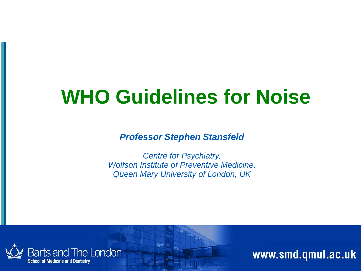## **WHO Guidelines for Noise**

*Professor Stephen Stansfeld*

*Centre for Psychiatry, Wolfson Institute of Preventive Medicine, Queen Mary University of London, UK*

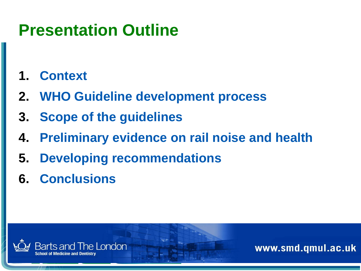### **Presentation Outline**

- **1. Context**
- **2. WHO Guideline development process**
- **3. Scope of the guidelines**
- **4. Preliminary evidence on rail noise and health**
- **5. Developing recommendations**
- **6. Conclusions**

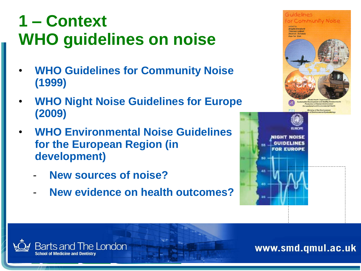### **1 – Context WHO guidelines on noise**

- **WHO Guidelines for Community Noise (1999)**
- **WHO Night Noise Guidelines for Europe (2009)**
- **WHO Environmental Noise Guidelines for the European Region (in development)**
	- **New sources of noise?**

**Barts and The London** 

- **New evidence on health outcomes?**



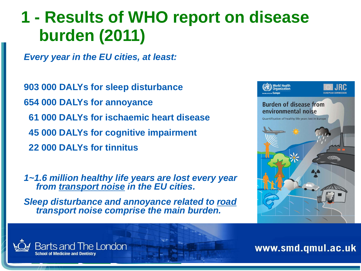### **1 - Results of WHO report on disease burden (2011)**

*Every year in the EU cities, at least:*

Barts and The London

**903 000 DALYs for sleep disturbance 654 000 DALYs for annoyance 61 000 DALYs for ischaemic heart disease 45 000 DALYs for cognitive impairment 22 000 DALYs for tinnitus**

*1~1.6 million healthy life years are lost every year from transport noise in the EU cities.* 

*Sleep disturbance and annoyance related to road transport noise comprise the main burden.*

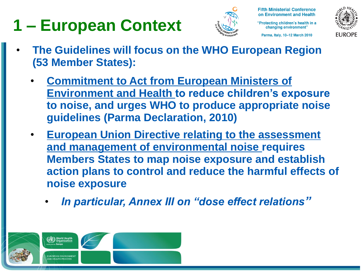## **1 – European Context**



**Fifth Ministerial Conference** on Environment and Health

"Protecting children's health in a changing environment"

Parma, Italy, 10-12 March 2010



- **The Guidelines will focus on the WHO European Region (53 Member States):**
	- **Commitment to Act from European Ministers of Environment and Health to reduce children's exposure to noise, and urges WHO to produce appropriate noise guidelines (Parma Declaration, 2010)**
	- **European Union Directive relating to the assessment and management of environmental noise requires Members States to map noise exposure and establish action plans to control and reduce the harmful effects of noise exposure**
		- *In particular, Annex III on "dose effect relations"*

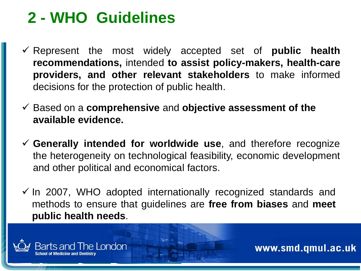### **2 - WHO Guidelines**

- Represent the most widely accepted set of **public health recommendations,** intended **to assist policy-makers, health-care providers, and other relevant stakeholders** to make informed decisions for the protection of public health.
- Based on a **comprehensive** and **objective assessment of the available evidence.**
- **Generally intended for worldwide use**, and therefore recognize the heterogeneity on technological feasibility, economic development and other political and economical factors.
- $\checkmark$  In 2007, WHO adopted internationally recognized standards and methods to ensure that guidelines are **free from biases** and **meet public health needs**.

Bonn, Germany, Germany, Germany, Germany, Germany, Germany, Germany, Germany, Germany, Germany, Germany, Germany, G

14-15 April 2015 April 2015 April 2015 April 2015<br>14-15 April 2015 April 2015 April 2015 April 2015 April 2015 April 2015 April 2015 April 2015 April 2015 April<br>14-15 April 2015 April 2015 April 2015 April 2015 April 2015

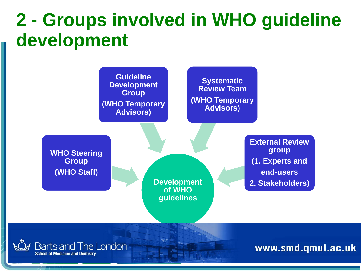## **2 - Groups involved in WHO guideline development**

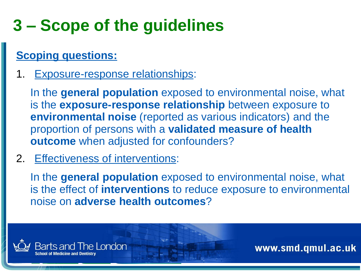## **3 – Scope of the guidelines**

### **Scoping questions:**

1. Exposure-response relationships:

In the **general population** exposed to environmental noise, what is the **exposure-response relationship** between exposure to **environmental noise** (reported as various indicators) and the proportion of persons with a **validated measure of health outcome** when adjusted for confounders?

2. Effectiveness of interventions:

In the **general population** exposed to environmental noise, what is the effect of **interventions** to reduce exposure to environmental noise on **adverse health outcomes**?

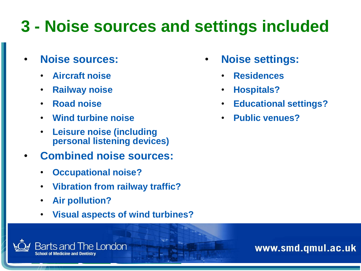## **3 - Noise sources and settings included**

- **Noise sources:**
	- **Aircraft noise**
	- **Railway noise**
	- **Road noise**
	- **Wind turbine noise**
	- **Leisure noise (including personal listening devices)**
- **Combined noise sources:**
	- **Occupational noise?**
	- **Vibration from railway traffic?**
	- **Air pollution?**
	- **Visual aspects of wind turbines?**
- 
- **Noise settings:**
	- **Residences**
	- **Hospitals?**
	- **Educational settings?**
	- **Public venues?**

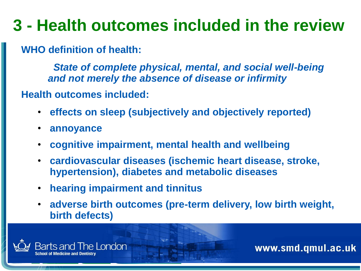## **3 - Health outcomes included in the review**

**WHO definition of health:** 

*State of complete physical, mental, and social well-being and not merely the absence of disease or infirmity*

**Health outcomes included:**

- **effects on sleep (subjectively and objectively reported)**
- **annoyance**
- **cognitive impairment, mental health and wellbeing**
- **cardiovascular diseases (ischemic heart disease, stroke, hypertension), diabetes and metabolic diseases**
- **hearing impairment and tinnitus**
- **adverse birth outcomes (pre-term delivery, low birth weight, birth defects)**

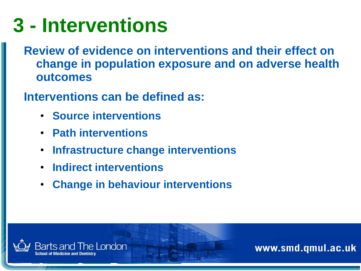# **3 - Interventions**

**Review of evidence on interventions and their effect on change in population exposure and on adverse health outcomes**

**Interventions can be defined as:**

- **Source interventions**
- **Path interventions**
- **Infrastructure change interventions**
- **Indirect interventions**
- **Change in behaviour interventions**

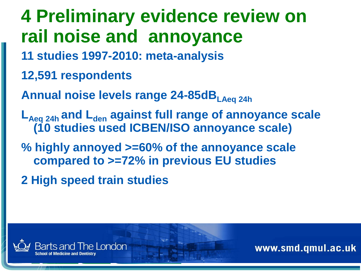**4 Preliminary evidence review on rail noise and annoyance 11 studies 1997-2010: meta-analysis 12,591 respondents Annual noise levels range 24-85dBLAeq 24h LAeq 24h and Lden against full range of annoyance scale (10 studies used ICBEN/ISO annoyance scale) % highly annoyed >=60% of the annoyance scale compared to >=72% in previous EU studies 2 High speed train studies**

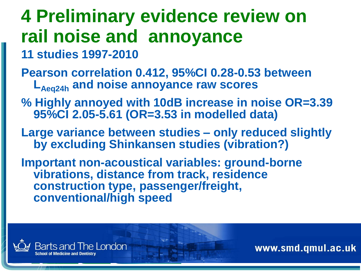## **4 Preliminary evidence review on rail noise and annoyance**

- **11 studies 1997-2010**
- **Pearson correlation 0.412, 95%CI 0.28-0.53 between LAeq24h and noise annoyance raw scores**
- **% Highly annoyed with 10dB increase in noise OR=3.39 95%CI 2.05-5.61 (OR=3.53 in modelled data)**
- **Large variance between studies – only reduced slightly by excluding Shinkansen studies (vibration?)**
- **Important non-acoustical variables: ground-borne vibrations, distance from track, residence construction type, passenger/freight, conventional/high speed**

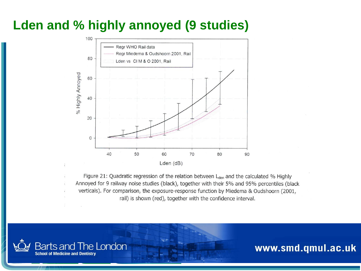### **Lden and % highly annoyed (9 studies)**



Figure 21: Quadratic regression of the relation between L<sub>den</sub> and the calculated % Highly Annoyed for 9 railway noise studies (black), together with their 5% and 95% percentiles (black verticals). For comparison, the exposure-response function by Miedema & Oudshoorn (2001, rail) is shown (red), together with the confidence interval.

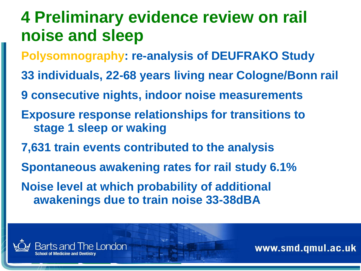- **Polysomnography: re-analysis of DEUFRAKO Study**
- **33 individuals, 22-68 years living near Cologne/Bonn rail**
- **9 consecutive nights, indoor noise measurements**
- **Exposure response relationships for transitions to stage 1 sleep or waking**
- **7,631 train events contributed to the analysis**
- **Spontaneous awakening rates for rail study 6.1%**
- **Noise level at which probability of additional awakenings due to train noise 33-38dBA**

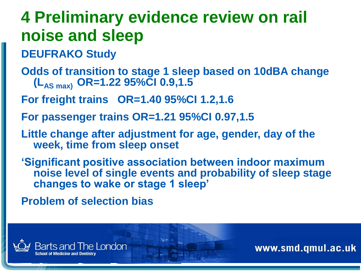- **DEUFRAKO Study**
- **Odds of transition to stage 1 sleep based on 10dBA change (LAS max) OR=1.22 95%CI 0.9,1.5**
- **For freight trains OR=1.40 95%CI 1.2,1.6**
- **For passenger trains OR=1.21 95%CI 0.97,1.5**
- **Little change after adjustment for age, gender, day of the week, time from sleep onset**
- **'Significant positive association between indoor maximum noise level of single events and probability of sleep stage changes to wake or stage 1 sleep'**

**Problem of selection bias**

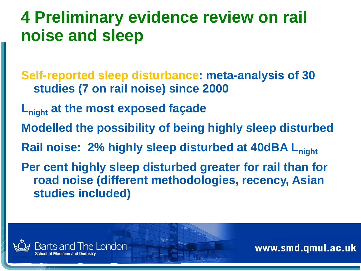**Self-reported sleep disturbance: meta-analysis of 30 studies (7 on rail noise) since 2000**

- **Lnight at the most exposed façade**
- **Modelled the possibility of being highly sleep disturbed**

**Rail noise: 2% highly sleep disturbed at 40dBA Lnight**

**Per cent highly sleep disturbed greater for rail than for road noise (different methodologies, recency, Asian studies included)**

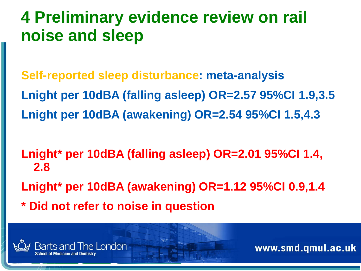**Self-reported sleep disturbance: meta-analysis Lnight per 10dBA (falling asleep) OR=2.57 95%CI 1.9,3.5 Lnight per 10dBA (awakening) OR=2.54 95%CI 1.5,4.3**

**Lnight\* per 10dBA (falling asleep) OR=2.01 95%CI 1.4, 2.8 Lnight\* per 10dBA (awakening) OR=1.12 95%CI 0.9,1.4**

**\* Did not refer to noise in question**

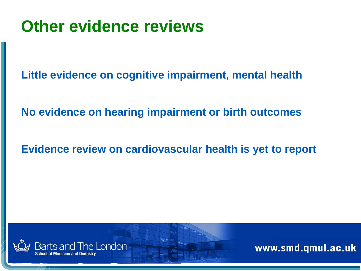### **Other evidence reviews**

**Little evidence on cognitive impairment, mental health**

**No evidence on hearing impairment or birth outcomes**

**Evidence review on cardiovascular health is yet to report**

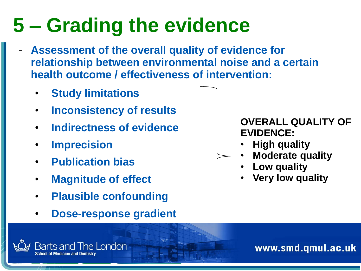# **5 – Grading the evidence**

- Assessment of the overall quality of evidence for **relationship between environmental noise and a certain health outcome / effectiveness of intervention:**
	- **Study limitations**
	- **Inconsistency of results**
	- **Indirectness of evidence**
	- **Imprecision**
	- **Publication bias**

**Barts and The London** 

- **Magnitude of effect**
- **Plausible confounding**
- **Dose-response gradient**

#### **OVERALL QUALITY OF EVIDENCE:**

- **High quality**
- **Moderate quality**
- **Low quality**
- **Very low quality**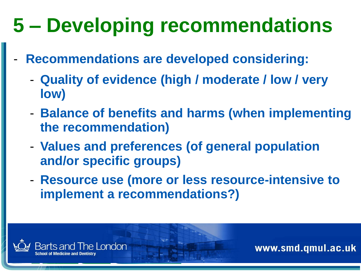# **5 – Developing recommendations**

- **Recommendations are developed considering:**
	- **Quality of evidence (high / moderate / low / very low)**
	- **Balance of benefits and harms (when implementing the recommendation)**
	- **Values and preferences (of general population and/or specific groups)**
	- **Resource use (more or less resource-intensive to implement a recommendations?)**

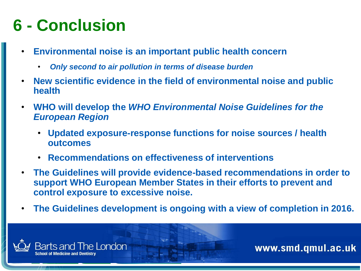## **6 - Conclusion**

- **Environmental noise is an important public health concern**
	- *Only second to air pollution in terms of disease burden*
- **New scientific evidence in the field of environmental noise and public health**
- **WHO will develop the** *WHO Environmental Noise Guidelines for the European Region* 
	- **Updated exposure-response functions for noise sources / health outcomes**
	- **Recommendations on effectiveness of interventions**
- **The Guidelines will provide evidence-based recommendations in order to support WHO European Member States in their efforts to prevent and control exposure to excessive noise.**
- **The Guidelines development is ongoing with a view of completion in 2016.**

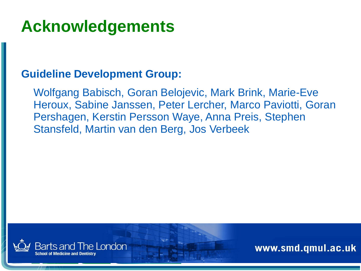### **Acknowledgements**

#### **Guideline Development Group:**

Wolfgang Babisch, Goran Belojevic, Mark Brink, Marie-Eve Heroux, Sabine Janssen, Peter Lercher, Marco Paviotti, Goran Pershagen, Kerstin Persson Waye, Anna Preis, Stephen Stansfeld, Martin van den Berg, Jos Verbeek